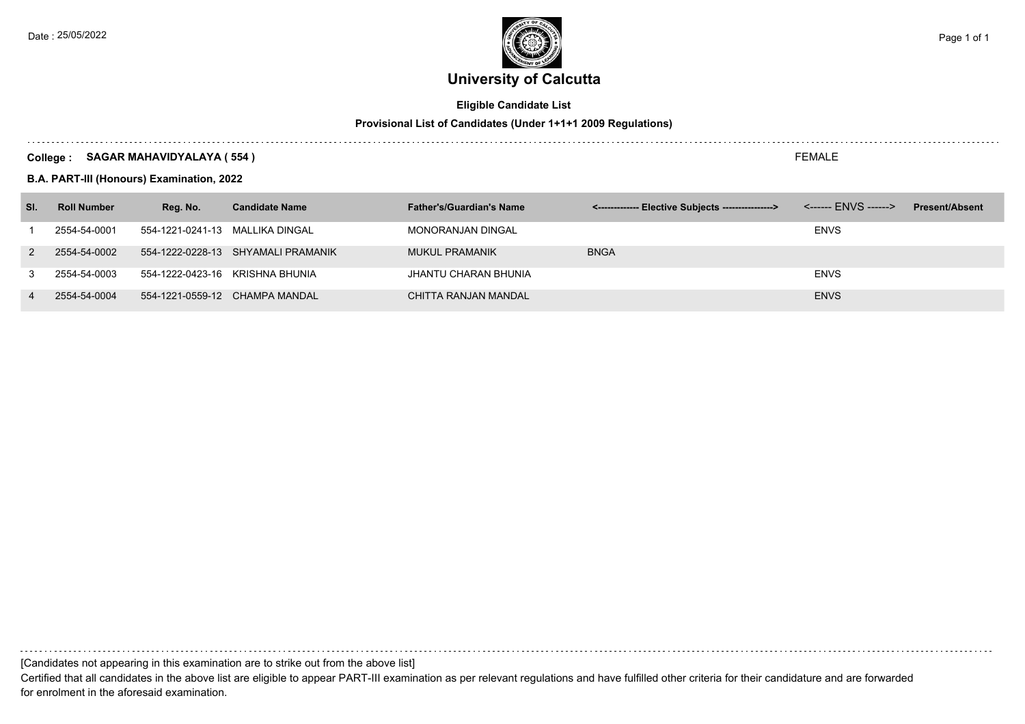

# **Eligible Candidate List**

## **Provisional List of Candidates (Under 1+1+1 2009 Regulations)**

### **College : SAGAR MAHAVIDYALAYA ( 554 )**

**B.A. PART-III (Honours) Examination, 2022**

| SI.            | <b>Roll Number</b> | Reg. No.                        | <b>Candidate Name</b>              | <b>Father's/Guardian's Name</b> | <-------------- Elective Subjects ----------------> |             | <b>Present/Absent</b> |
|----------------|--------------------|---------------------------------|------------------------------------|---------------------------------|-----------------------------------------------------|-------------|-----------------------|
|                | 2554-54-0001       | 554-1221-0241-13 MALLIKA DINGAL |                                    | MONORANJAN DINGAL               |                                                     | <b>ENVS</b> |                       |
| 2              | 2554-54-0002       |                                 | 554-1222-0228-13 SHYAMALI PRAMANIK | MUKUL PRAMANIK                  | <b>BNGA</b>                                         |             |                       |
|                | 2554-54-0003       |                                 | 554-1222-0423-16 KRISHNA BHUNIA    | JHANTU CHARAN BHUNIA            |                                                     | <b>ENVS</b> |                       |
| $\overline{4}$ | 2554-54-0004       |                                 | 554-1221-0559-12 CHAMPA MANDAL     | CHITTA RANJAN MANDAL            |                                                     | <b>ENVS</b> |                       |

[Candidates not appearing in this examination are to strike out from the above list]

Certified that all candidates in the above list are eligible to appear PART-III examination as per relevant regulations and have fulfilled other criteria for their candidature and are forwarded for enrolment in the aforesaid examination.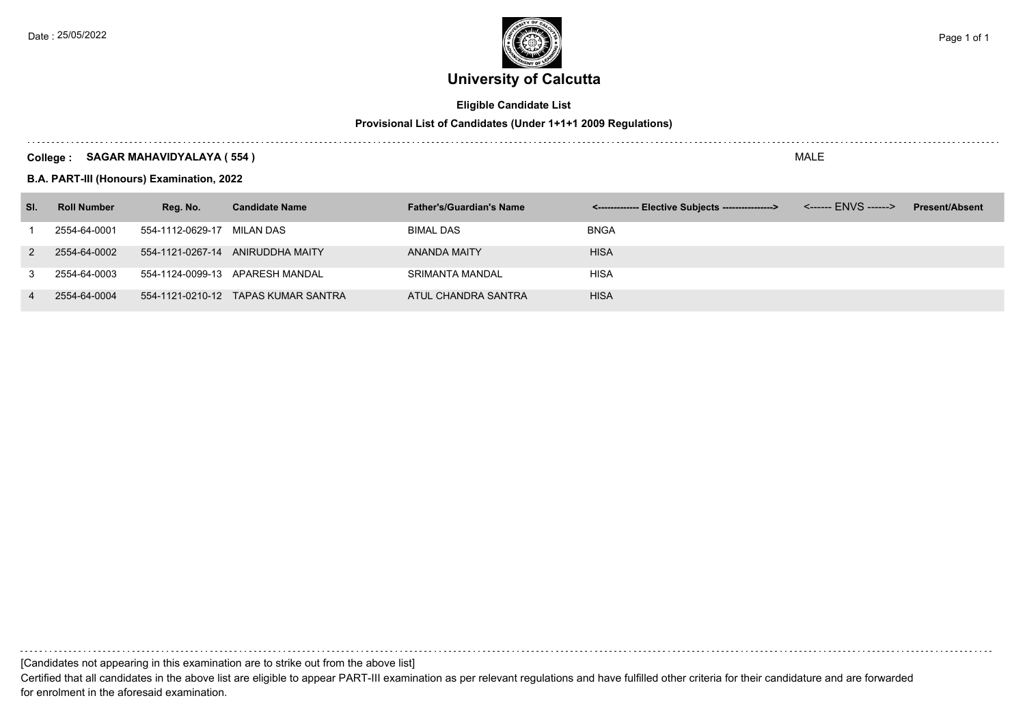

# **Eligible Candidate List**

## **Provisional List of Candidates (Under 1+1+1 2009 Regulations)**

### **College : SAGAR MAHAVIDYALAYA ( 554 )**

**B.A. PART-III (Honours) Examination, 2022**

| SI.            | <b>Roll Number</b> | Reg. No.                   | <b>Candidate Name</b>               | <b>Father's/Guardian's Name</b> | <-------------- Elective Subjects ----------------> | <b>Present/Absent</b> |
|----------------|--------------------|----------------------------|-------------------------------------|---------------------------------|-----------------------------------------------------|-----------------------|
|                | 2554-64-0001       | 554-1112-0629-17 MILAN DAS |                                     | BIMAL DAS                       | <b>BNGA</b>                                         |                       |
| 2              | 2554-64-0002       |                            | 554-1121-0267-14 ANIRUDDHA MAITY    | ANANDA MAITY                    | <b>HISA</b>                                         |                       |
|                | 2554-64-0003       |                            | 554-1124-0099-13 APARESH MANDAL     | SRIMANTA MANDAL                 | HISA                                                |                       |
| $\overline{4}$ | 2554-64-0004       |                            | 554-1121-0210-12 TAPAS KUMAR SANTRA | ATUL CHANDRA SANTRA             | <b>HISA</b>                                         |                       |

[Candidates not appearing in this examination are to strike out from the above list]

Certified that all candidates in the above list are eligible to appear PART-III examination as per relevant regulations and have fulfilled other criteria for their candidature and are forwarded for enrolment in the aforesaid examination.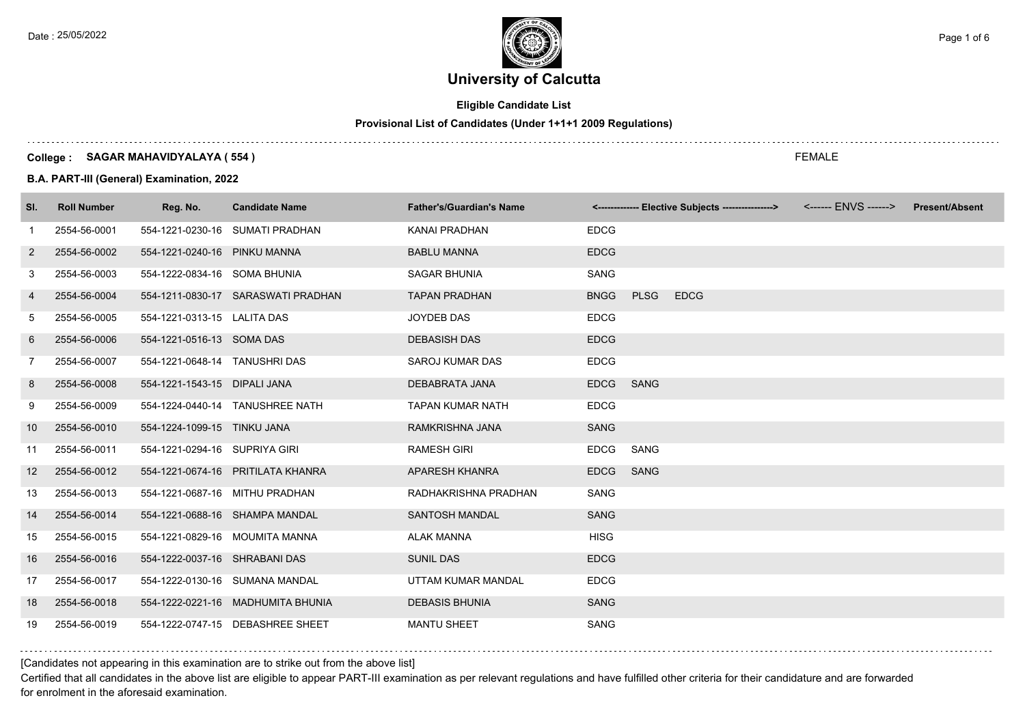

# **Eligible Candidate List**

# **Provisional List of Candidates (Under 1+1+1 2009 Regulations)**

### **College : SAGAR MAHAVIDYALAYA ( 554 )**

**B.A. PART-III (General) Examination, 2022**

| SI.               | <b>Roll Number</b> | Reg. No.                      | <b>Candidate Name</b>              | <b>Father's/Guardian's Name</b> |             |             | <-------------- Elective Subjects ----------------> | <b>Present/Absent</b> |
|-------------------|--------------------|-------------------------------|------------------------------------|---------------------------------|-------------|-------------|-----------------------------------------------------|-----------------------|
| -1                | 2554-56-0001       |                               | 554-1221-0230-16 SUMATI PRADHAN    | KANAI PRADHAN                   | <b>EDCG</b> |             |                                                     |                       |
| 2                 | 2554-56-0002       | 554-1221-0240-16 PINKU MANNA  |                                    | <b>BABLU MANNA</b>              | <b>EDCG</b> |             |                                                     |                       |
| 3                 | 2554-56-0003       | 554-1222-0834-16 SOMA BHUNIA  |                                    | <b>SAGAR BHUNIA</b>             | <b>SANG</b> |             |                                                     |                       |
| 4                 | 2554-56-0004       |                               | 554-1211-0830-17 SARASWATI PRADHAN | <b>TAPAN PRADHAN</b>            | <b>BNGG</b> | <b>PLSG</b> | <b>EDCG</b>                                         |                       |
| 5                 | 2554-56-0005       | 554-1221-0313-15 LALITA DAS   |                                    | JOYDEB DAS                      | <b>EDCG</b> |             |                                                     |                       |
| 6                 | 2554-56-0006       | 554-1221-0516-13 SOMA DAS     |                                    | <b>DEBASISH DAS</b>             | <b>EDCG</b> |             |                                                     |                       |
| 7                 | 2554-56-0007       | 554-1221-0648-14 TANUSHRI DAS |                                    | <b>SAROJ KUMAR DAS</b>          | <b>EDCG</b> |             |                                                     |                       |
| 8                 | 2554-56-0008       | 554-1221-1543-15 DIPALI JANA  |                                    | DEBABRATA JANA                  | <b>EDCG</b> | <b>SANG</b> |                                                     |                       |
| 9                 | 2554-56-0009       |                               | 554-1224-0440-14 TANUSHREE NATH    | <b>TAPAN KUMAR NATH</b>         | <b>EDCG</b> |             |                                                     |                       |
| 10                | 2554-56-0010       | 554-1224-1099-15 TINKU JANA   |                                    | RAMKRISHNA JANA                 | <b>SANG</b> |             |                                                     |                       |
| 11                | 2554-56-0011       | 554-1221-0294-16 SUPRIYA GIRI |                                    | <b>RAMESH GIRI</b>              | <b>EDCG</b> | SANG        |                                                     |                       |
| $12 \overline{ }$ | 2554-56-0012       |                               | 554-1221-0674-16 PRITILATA KHANRA  | <b>APARESH KHANRA</b>           | <b>EDCG</b> | <b>SANG</b> |                                                     |                       |
| 13                | 2554-56-0013       |                               | 554-1221-0687-16 MITHU PRADHAN     | RADHAKRISHNA PRADHAN            | <b>SANG</b> |             |                                                     |                       |
| 14                | 2554-56-0014       |                               | 554-1221-0688-16 SHAMPA MANDAL     | <b>SANTOSH MANDAL</b>           | <b>SANG</b> |             |                                                     |                       |
| 15                | 2554-56-0015       |                               | 554-1221-0829-16 MOUMITA MANNA     | <b>ALAK MANNA</b>               | <b>HISG</b> |             |                                                     |                       |
| 16                | 2554-56-0016       | 554-1222-0037-16 SHRABANI DAS |                                    | <b>SUNIL DAS</b>                | <b>EDCG</b> |             |                                                     |                       |
| 17                | 2554-56-0017       |                               | 554-1222-0130-16 SUMANA MANDAL     | UTTAM KUMAR MANDAL              | <b>EDCG</b> |             |                                                     |                       |
| 18                | 2554-56-0018       |                               | 554-1222-0221-16 MADHUMITA BHUNIA  | <b>DEBASIS BHUNIA</b>           | <b>SANG</b> |             |                                                     |                       |
| 19                | 2554-56-0019       |                               | 554-1222-0747-15 DEBASHREE SHEET   | <b>MANTU SHEET</b>              | SANG        |             |                                                     |                       |

## [Candidates not appearing in this examination are to strike out from the above list]

Certified that all candidates in the above list are eligible to appear PART-III examination as per relevant regulations and have fulfilled other criteria for their candidature and are forwarded for enrolment in the aforesaid examination.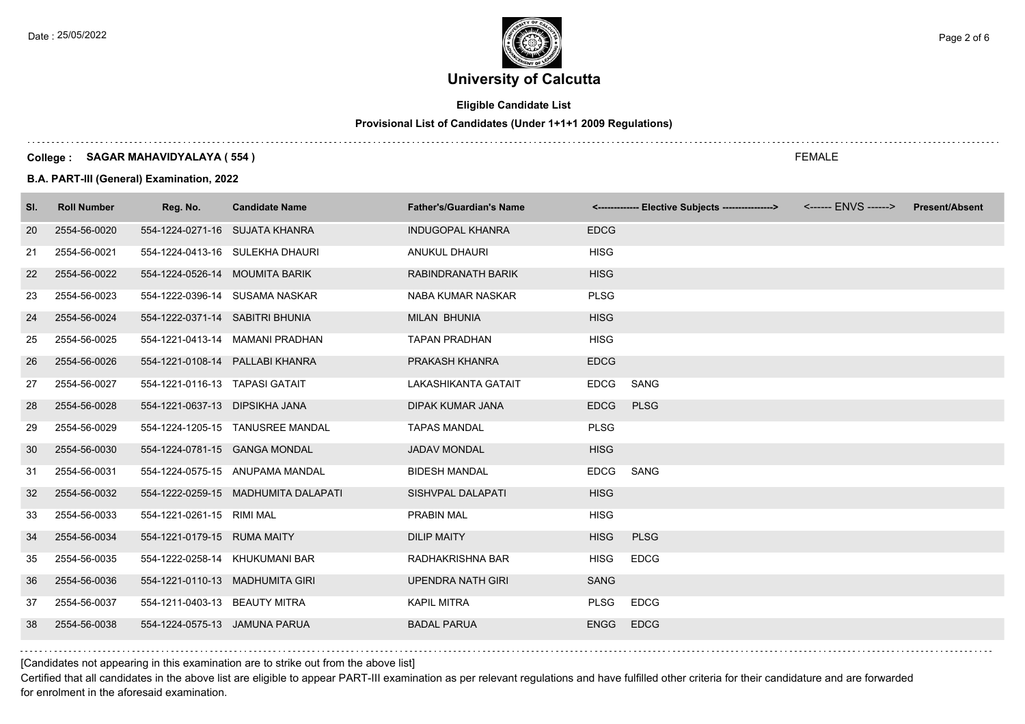

# **Eligible Candidate List**

# **Provisional List of Candidates (Under 1+1+1 2009 Regulations)**

### **College : SAGAR MAHAVIDYALAYA ( 554 )**

**B.A. PART-III (General) Examination, 2022**

| SI. | <b>Roll Number</b> | Reg. No.                        | <b>Candidate Name</b>               | <b>Father's/Guardian's Name</b> |             | <------------- Elective Subjects ----------------> | <b>Present/Absent</b> |
|-----|--------------------|---------------------------------|-------------------------------------|---------------------------------|-------------|----------------------------------------------------|-----------------------|
| 20  | 2554-56-0020       |                                 | 554-1224-0271-16 SUJATA KHANRA      | <b>INDUGOPAL KHANRA</b>         | <b>EDCG</b> |                                                    |                       |
| 21  | 2554-56-0021       |                                 | 554-1224-0413-16 SULEKHA DHAURI     | <b>ANUKUL DHAURI</b>            | <b>HISG</b> |                                                    |                       |
| 22  | 2554-56-0022       | 554-1224-0526-14 MOUMITA BARIK  |                                     | RABINDRANATH BARIK              | <b>HISG</b> |                                                    |                       |
| 23  | 2554-56-0023       |                                 | 554-1222-0396-14 SUSAMA NASKAR      | NABA KUMAR NASKAR               | <b>PLSG</b> |                                                    |                       |
| 24  | 2554-56-0024       | 554-1222-0371-14 SABITRI BHUNIA |                                     | <b>MILAN BHUNIA</b>             | <b>HISG</b> |                                                    |                       |
| 25  | 2554-56-0025       |                                 | 554-1221-0413-14 MAMANI PRADHAN     | <b>TAPAN PRADHAN</b>            | <b>HISG</b> |                                                    |                       |
| 26  | 2554-56-0026       |                                 | 554-1221-0108-14 PALLABI KHANRA     | PRAKASH KHANRA                  | <b>EDCG</b> |                                                    |                       |
| 27  | 2554-56-0027       | 554-1221-0116-13 TAPASI GATAIT  |                                     | LAKASHIKANTA GATAIT             | <b>EDCG</b> | SANG                                               |                       |
| 28  | 2554-56-0028       | 554-1221-0637-13 DIPSIKHA JANA  |                                     | <b>DIPAK KUMAR JANA</b>         | <b>EDCG</b> | <b>PLSG</b>                                        |                       |
| 29  | 2554-56-0029       |                                 | 554-1224-1205-15 TANUSREE MANDAL    | <b>TAPAS MANDAL</b>             | <b>PLSG</b> |                                                    |                       |
| 30  | 2554-56-0030       | 554-1224-0781-15 GANGA MONDAL   |                                     | <b>JADAV MONDAL</b>             | <b>HISG</b> |                                                    |                       |
| 31  | 2554-56-0031       |                                 | 554-1224-0575-15 ANUPAMA MANDAL     | <b>BIDESH MANDAL</b>            | <b>EDCG</b> | SANG                                               |                       |
| 32  | 2554-56-0032       |                                 | 554-1222-0259-15 MADHUMITA DALAPATI | SISHVPAL DALAPATI               | <b>HISG</b> |                                                    |                       |
| 33  | 2554-56-0033       | 554-1221-0261-15 RIMI MAL       |                                     | <b>PRABIN MAL</b>               | <b>HISG</b> |                                                    |                       |
| 34  | 2554-56-0034       | 554-1221-0179-15 RUMA MAITY     |                                     | <b>DILIP MAITY</b>              | <b>HISG</b> | <b>PLSG</b>                                        |                       |
| 35  | 2554-56-0035       |                                 | 554-1222-0258-14 KHUKUMANI BAR      | RADHAKRISHNA BAR                | <b>HISG</b> | <b>EDCG</b>                                        |                       |
| 36  | 2554-56-0036       |                                 | 554-1221-0110-13 MADHUMITA GIRI     | <b>UPENDRA NATH GIRI</b>        | <b>SANG</b> |                                                    |                       |
| 37  | 2554-56-0037       | 554-1211-0403-13 BEAUTY MITRA   |                                     | <b>KAPIL MITRA</b>              | <b>PLSG</b> | <b>EDCG</b>                                        |                       |
| 38  | 2554-56-0038       | 554-1224-0575-13 JAMUNA PARUA   |                                     | <b>BADAL PARUA</b>              | <b>ENGG</b> | <b>EDCG</b>                                        |                       |

[Candidates not appearing in this examination are to strike out from the above list]

Certified that all candidates in the above list are eligible to appear PART-III examination as per relevant regulations and have fulfilled other criteria for their candidature and are forwarded for enrolment in the aforesaid examination.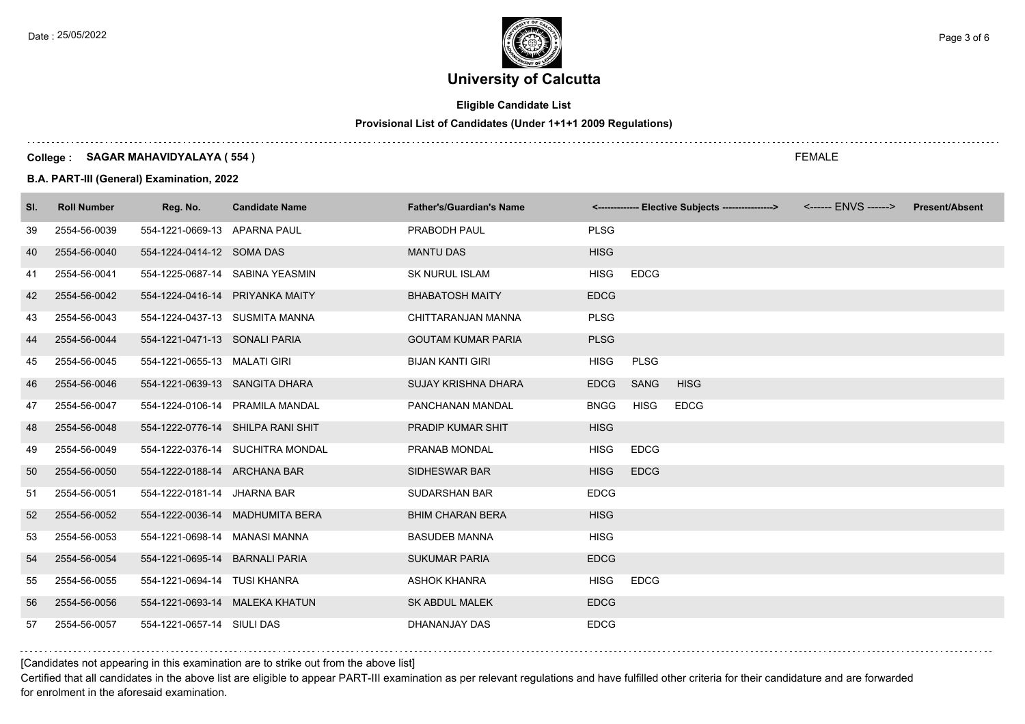

# **Eligible Candidate List**

# **Provisional List of Candidates (Under 1+1+1 2009 Regulations)**

### **College : SAGAR MAHAVIDYALAYA ( 554 )**

**B.A. PART-III (General) Examination, 2022**

| SI. | <b>Roll Number</b> | Reg. No.                       | <b>Candidate Name</b>             | <b>Father's/Guardian's Name</b> |             |             | <-------------- Elective Subjects ----------------> | <b>Present/Absent</b> |
|-----|--------------------|--------------------------------|-----------------------------------|---------------------------------|-------------|-------------|-----------------------------------------------------|-----------------------|
| 39  | 2554-56-0039       | 554-1221-0669-13 APARNA PAUL   |                                   | PRABODH PAUL                    | <b>PLSG</b> |             |                                                     |                       |
| 40  | 2554-56-0040       | 554-1224-0414-12 SOMA DAS      |                                   | <b>MANTU DAS</b>                | <b>HISG</b> |             |                                                     |                       |
| 41  | 2554-56-0041       |                                | 554-1225-0687-14 SABINA YEASMIN   | <b>SK NURUL ISLAM</b>           | <b>HISG</b> | <b>EDCG</b> |                                                     |                       |
| 42  | 2554-56-0042       |                                | 554-1224-0416-14 PRIYANKA MAITY   | <b>BHABATOSH MAITY</b>          | <b>EDCG</b> |             |                                                     |                       |
| 43  | 2554-56-0043       |                                | 554-1224-0437-13 SUSMITA MANNA    | CHITTARANJAN MANNA              | <b>PLSG</b> |             |                                                     |                       |
| 44  | 2554-56-0044       | 554-1221-0471-13 SONALI PARIA  |                                   | <b>GOUTAM KUMAR PARIA</b>       | <b>PLSG</b> |             |                                                     |                       |
| 45  | 2554-56-0045       | 554-1221-0655-13 MALATI GIRI   |                                   | <b>BIJAN KANTI GIRI</b>         | <b>HISG</b> | <b>PLSG</b> |                                                     |                       |
| 46  | 2554-56-0046       |                                | 554-1221-0639-13 SANGITA DHARA    | <b>SUJAY KRISHNA DHARA</b>      | <b>EDCG</b> | SANG        | <b>HISG</b>                                         |                       |
| 47  | 2554-56-0047       |                                | 554-1224-0106-14 PRAMILA MANDAL   | PANCHANAN MANDAL                | <b>BNGG</b> | <b>HISG</b> | <b>EDCG</b>                                         |                       |
| 48  | 2554-56-0048       |                                | 554-1222-0776-14 SHILPA RANI SHIT | PRADIP KUMAR SHIT               | <b>HISG</b> |             |                                                     |                       |
| 49  | 2554-56-0049       |                                | 554-1222-0376-14 SUCHITRA MONDAL  | PRANAB MONDAL                   | <b>HISG</b> | <b>EDCG</b> |                                                     |                       |
| 50  | 2554-56-0050       | 554-1222-0188-14 ARCHANA BAR   |                                   | SIDHESWAR BAR                   | <b>HISG</b> | <b>EDCG</b> |                                                     |                       |
| 51  | 2554-56-0051       | 554-1222-0181-14 JHARNA BAR    |                                   | <b>SUDARSHAN BAR</b>            | <b>EDCG</b> |             |                                                     |                       |
| 52  | 2554-56-0052       |                                | 554-1222-0036-14 MADHUMITA BERA   | <b>BHIM CHARAN BERA</b>         | <b>HISG</b> |             |                                                     |                       |
| 53  | 2554-56-0053       | 554-1221-0698-14 MANASI MANNA  |                                   | <b>BASUDEB MANNA</b>            | <b>HISG</b> |             |                                                     |                       |
| 54  | 2554-56-0054       | 554-1221-0695-14 BARNALI PARIA |                                   | <b>SUKUMAR PARIA</b>            | <b>EDCG</b> |             |                                                     |                       |
| 55  | 2554-56-0055       | 554-1221-0694-14 TUSI KHANRA   |                                   | <b>ASHOK KHANRA</b>             | <b>HISG</b> | <b>EDCG</b> |                                                     |                       |
| 56  | 2554-56-0056       |                                | 554-1221-0693-14 MALEKA KHATUN    | <b>SK ABDUL MALEK</b>           | <b>EDCG</b> |             |                                                     |                       |
| 57  | 2554-56-0057       | 554-1221-0657-14 SIULI DAS     |                                   | DHANANJAY DAS                   | <b>EDCG</b> |             |                                                     |                       |

## [Candidates not appearing in this examination are to strike out from the above list]

Certified that all candidates in the above list are eligible to appear PART-III examination as per relevant regulations and have fulfilled other criteria for their candidature and are forwarded for enrolment in the aforesaid examination.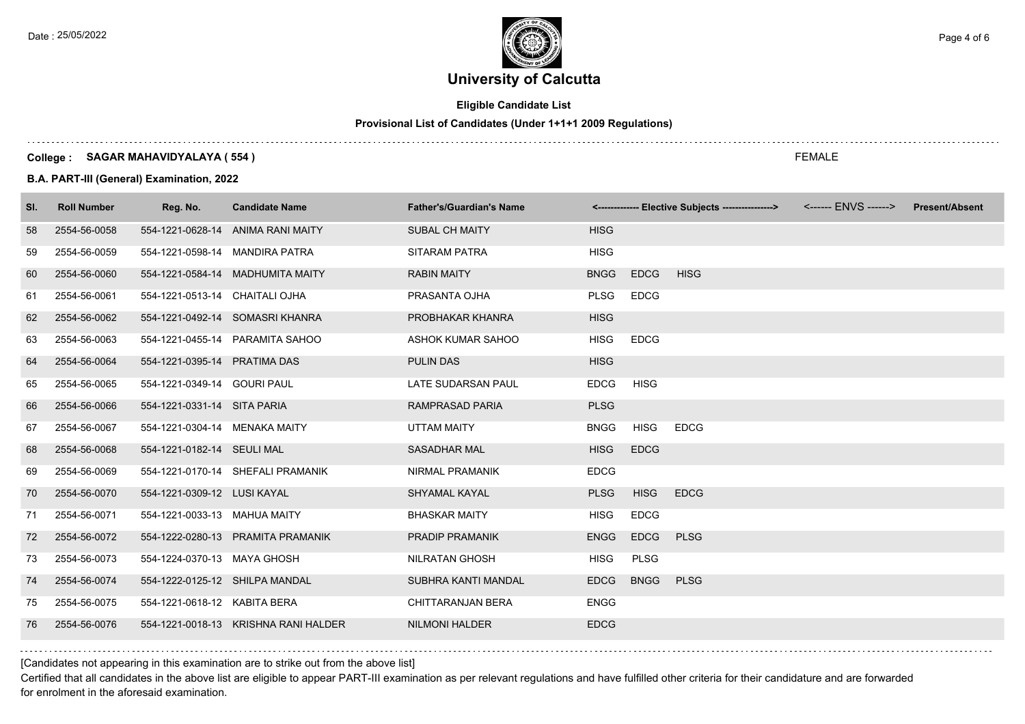

# **Eligible Candidate List**

# **Provisional List of Candidates (Under 1+1+1 2009 Regulations)**

### **College : SAGAR MAHAVIDYALAYA ( 554 )**

**B.A. PART-III (General) Examination, 2022**

| SI. | <b>Roll Number</b> | Reg. No.                       | <b>Candidate Name</b>                | <b>Father's/Guardian's Name</b> |             |             | <------------- Elective Subjects ----------------> <------ ENVS ------> | <b>Present/Absent</b> |
|-----|--------------------|--------------------------------|--------------------------------------|---------------------------------|-------------|-------------|-------------------------------------------------------------------------|-----------------------|
| 58  | 2554-56-0058       |                                | 554-1221-0628-14 ANIMA RANI MAITY    | <b>SUBAL CH MAITY</b>           | <b>HISG</b> |             |                                                                         |                       |
| 59  | 2554-56-0059       |                                | 554-1221-0598-14 MANDIRA PATRA       | <b>SITARAM PATRA</b>            | <b>HISG</b> |             |                                                                         |                       |
| 60  | 2554-56-0060       |                                | 554-1221-0584-14 MADHUMITA MAITY     | <b>RABIN MAITY</b>              | <b>BNGG</b> | <b>EDCG</b> | <b>HISG</b>                                                             |                       |
| 61  | 2554-56-0061       | 554-1221-0513-14 CHAITALI OJHA |                                      | PRASANTA OJHA                   | <b>PLSG</b> | <b>EDCG</b> |                                                                         |                       |
| 62  | 2554-56-0062       |                                | 554-1221-0492-14 SOMASRI KHANRA      | PROBHAKAR KHANRA                | <b>HISG</b> |             |                                                                         |                       |
| 63  | 2554-56-0063       |                                | 554-1221-0455-14 PARAMITA SAHOO      | ASHOK KUMAR SAHOO               | <b>HISG</b> | <b>EDCG</b> |                                                                         |                       |
| 64  | 2554-56-0064       | 554-1221-0395-14 PRATIMA DAS   |                                      | <b>PULIN DAS</b>                | <b>HISG</b> |             |                                                                         |                       |
| 65  | 2554-56-0065       | 554-1221-0349-14 GOURI PAUL    |                                      | LATE SUDARSAN PAUL              | <b>EDCG</b> | <b>HISG</b> |                                                                         |                       |
| 66  | 2554-56-0066       | 554-1221-0331-14 SITA PARIA    |                                      | <b>RAMPRASAD PARIA</b>          | <b>PLSG</b> |             |                                                                         |                       |
| 67  | 2554-56-0067       | 554-1221-0304-14 MENAKA MAITY  |                                      | <b>UTTAM MAITY</b>              | <b>BNGG</b> | <b>HISG</b> | <b>EDCG</b>                                                             |                       |
| 68  | 2554-56-0068       | 554-1221-0182-14 SEULI MAL     |                                      | <b>SASADHAR MAL</b>             | <b>HISG</b> | <b>EDCG</b> |                                                                         |                       |
| 69  | 2554-56-0069       |                                | 554-1221-0170-14 SHEFALI PRAMANIK    | <b>NIRMAL PRAMANIK</b>          | <b>EDCG</b> |             |                                                                         |                       |
| 70  | 2554-56-0070       | 554-1221-0309-12 LUSI KAYAL    |                                      | SHYAMAL KAYAL                   | <b>PLSG</b> | <b>HISG</b> | <b>EDCG</b>                                                             |                       |
| 71  | 2554-56-0071       | 554-1221-0033-13 MAHUA MAITY   |                                      | <b>BHASKAR MAITY</b>            | <b>HISG</b> | <b>EDCG</b> |                                                                         |                       |
| 72  | 2554-56-0072       |                                | 554-1222-0280-13 PRAMITA PRAMANIK    | <b>PRADIP PRAMANIK</b>          | <b>ENGG</b> | <b>EDCG</b> | <b>PLSG</b>                                                             |                       |
| 73  | 2554-56-0073       | 554-1224-0370-13 MAYA GHOSH    |                                      | <b>NILRATAN GHOSH</b>           | <b>HISG</b> | <b>PLSG</b> |                                                                         |                       |
| 74  | 2554-56-0074       | 554-1222-0125-12 SHILPA MANDAL |                                      | SUBHRA KANTI MANDAL             | <b>EDCG</b> | <b>BNGG</b> | <b>PLSG</b>                                                             |                       |
| 75  | 2554-56-0075       | 554-1221-0618-12 KABITA BERA   |                                      | CHITTARANJAN BERA               | <b>ENGG</b> |             |                                                                         |                       |
| 76  | 2554-56-0076       |                                | 554-1221-0018-13 KRISHNA RANI HALDER | <b>NILMONI HALDER</b>           | <b>EDCG</b> |             |                                                                         |                       |

[Candidates not appearing in this examination are to strike out from the above list]

Certified that all candidates in the above list are eligible to appear PART-III examination as per relevant regulations and have fulfilled other criteria for their candidature and are forwarded for enrolment in the aforesaid examination.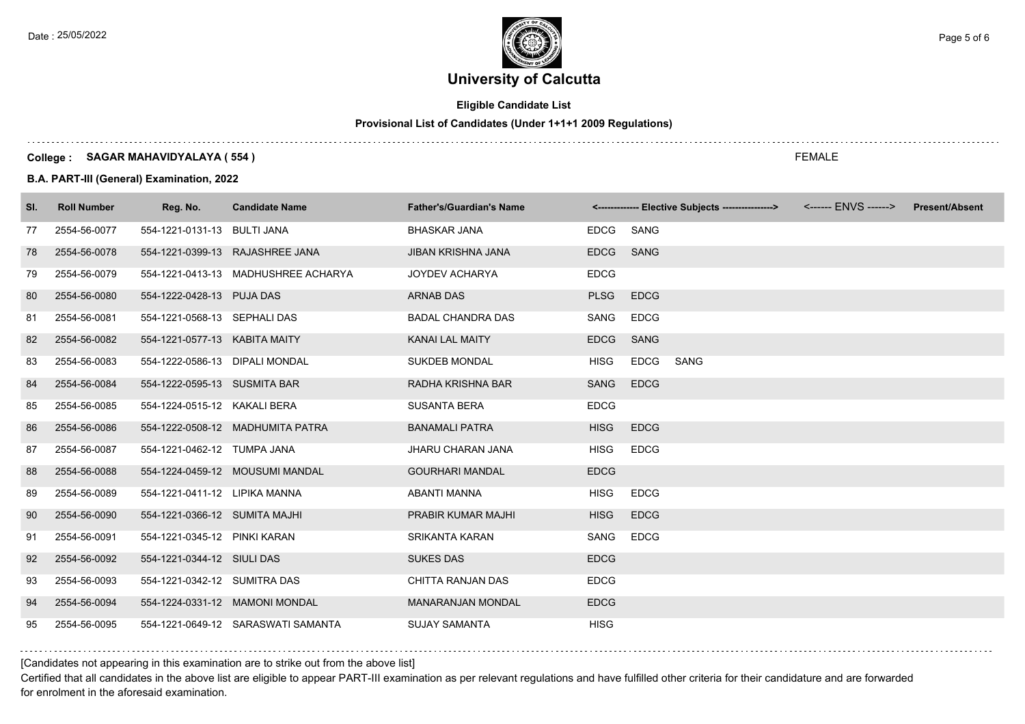Date : 25/05/2022 **Page 5 of 6**  $\begin{pmatrix} 1 & 0 \\ 0 & 0 \end{pmatrix}$  Page 5 of 6

# **University of Calcutta**

# **Eligible Candidate List**

# **Provisional List of Candidates (Under 1+1+1 2009 Regulations)**

#### **College : SAGAR MAHAVIDYALAYA ( 554 )**

**B.A. PART-III (General) Examination, 2022**

| SI. | <b>Roll Number</b> | Reg. No.                       | <b>Candidate Name</b>               | <b>Father's/Guardian's Name</b> |             | <------------- Elective Subjects ----------------> <------ ENVS ------> | <b>Present/Absent</b> |
|-----|--------------------|--------------------------------|-------------------------------------|---------------------------------|-------------|-------------------------------------------------------------------------|-----------------------|
| 77  | 2554-56-0077       | 554-1221-0131-13 BULTI JANA    |                                     | <b>BHASKAR JANA</b>             | <b>EDCG</b> | SANG                                                                    |                       |
| 78  | 2554-56-0078       |                                | 554-1221-0399-13 RAJASHREE JANA     | <b>JIBAN KRISHNA JANA</b>       | <b>EDCG</b> | <b>SANG</b>                                                             |                       |
| 79  | 2554-56-0079       |                                | 554-1221-0413-13 MADHUSHREE ACHARYA | <b>JOYDEV ACHARYA</b>           | <b>EDCG</b> |                                                                         |                       |
| 80  | 2554-56-0080       | 554-1222-0428-13 PUJA DAS      |                                     | <b>ARNAB DAS</b>                | <b>PLSG</b> | <b>EDCG</b>                                                             |                       |
| 81  | 2554-56-0081       | 554-1221-0568-13 SEPHALI DAS   |                                     | <b>BADAL CHANDRA DAS</b>        | SANG        | <b>EDCG</b>                                                             |                       |
| 82  | 2554-56-0082       | 554-1221-0577-13 KABITA MAITY  |                                     | <b>KANAI LAL MAITY</b>          | <b>EDCG</b> | <b>SANG</b>                                                             |                       |
| 83  | 2554-56-0083       | 554-1222-0586-13 DIPALI MONDAL |                                     | <b>SUKDEB MONDAL</b>            | <b>HISG</b> | <b>EDCG</b><br>SANG                                                     |                       |
| 84  | 2554-56-0084       | 554-1222-0595-13 SUSMITA BAR   |                                     | RADHA KRISHNA BAR               | <b>SANG</b> | <b>EDCG</b>                                                             |                       |
| 85  | 2554-56-0085       | 554-1224-0515-12 KAKALI BERA   |                                     | <b>SUSANTA BERA</b>             | <b>EDCG</b> |                                                                         |                       |
| 86  | 2554-56-0086       |                                | 554-1222-0508-12 MADHUMITA PATRA    | <b>BANAMALI PATRA</b>           | <b>HISG</b> | <b>EDCG</b>                                                             |                       |
| 87  | 2554-56-0087       | 554-1221-0462-12 TUMPA JANA    |                                     | <b>JHARU CHARAN JANA</b>        | <b>HISG</b> | <b>EDCG</b>                                                             |                       |
| 88  | 2554-56-0088       |                                | 554-1224-0459-12 MOUSUMI MANDAL     | <b>GOURHARI MANDAL</b>          | <b>EDCG</b> |                                                                         |                       |
| 89  | 2554-56-0089       | 554-1221-0411-12 LIPIKA MANNA  |                                     | <b>ABANTI MANNA</b>             | <b>HISG</b> | <b>EDCG</b>                                                             |                       |
| 90  | 2554-56-0090       | 554-1221-0366-12 SUMITA MAJHI  |                                     | PRABIR KUMAR MAJHI              | <b>HISG</b> | <b>EDCG</b>                                                             |                       |
| 91  | 2554-56-0091       | 554-1221-0345-12 PINKI KARAN   |                                     | <b>SRIKANTA KARAN</b>           | SANG        | <b>EDCG</b>                                                             |                       |
| 92  | 2554-56-0092       | 554-1221-0344-12 SIULI DAS     |                                     | <b>SUKES DAS</b>                | <b>EDCG</b> |                                                                         |                       |
| 93  | 2554-56-0093       | 554-1221-0342-12 SUMITRA DAS   |                                     | CHITTA RANJAN DAS               | <b>EDCG</b> |                                                                         |                       |
| 94  | 2554-56-0094       |                                | 554-1224-0331-12 MAMONI MONDAL      | <b>MANARANJAN MONDAL</b>        | <b>EDCG</b> |                                                                         |                       |
| 95  | 2554-56-0095       |                                | 554-1221-0649-12 SARASWATI SAMANTA  | <b>SUJAY SAMANTA</b>            | <b>HISG</b> |                                                                         |                       |

[Candidates not appearing in this examination are to strike out from the above list]

Certified that all candidates in the above list are eligible to appear PART-III examination as per relevant regulations and have fulfilled other criteria for their candidature and are forwarded for enrolment in the aforesaid examination.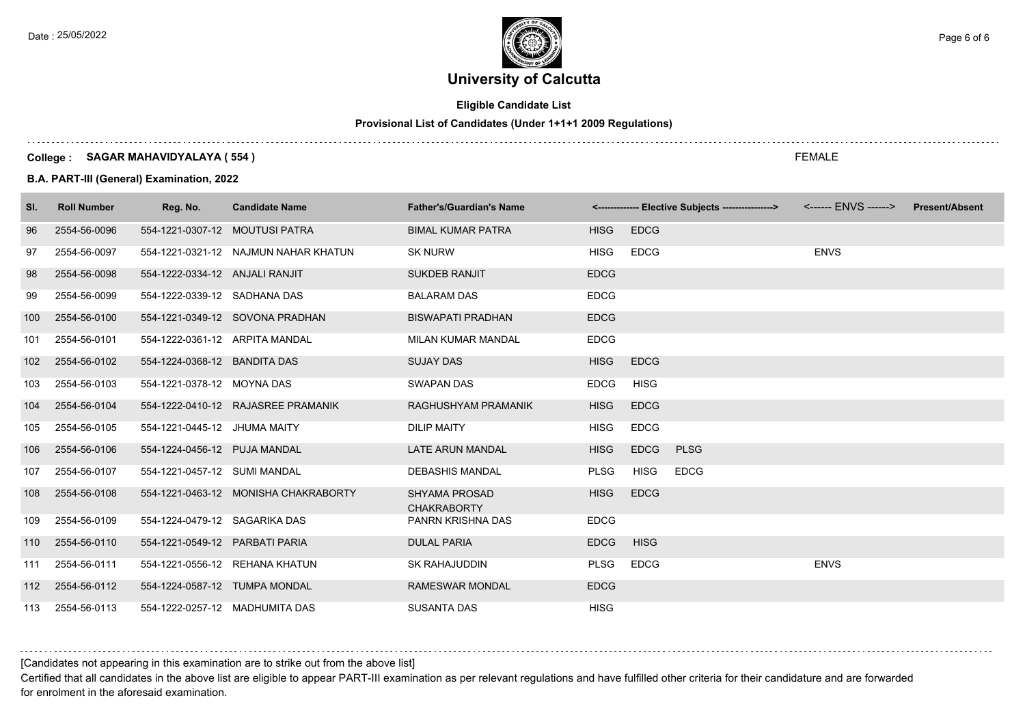Date : 25/05/2022 **Page 6 of 6**  $\begin{pmatrix} 1 & 0 \\ 0 & 0 \end{pmatrix}$  Page 6 of 6

# **University of Calcutta**

# **Eligible Candidate List**

# **Provisional List of Candidates (Under 1+1+1 2009 Regulations)**

### **College : SAGAR MAHAVIDYALAYA ( 554 )**

**B.A. PART-III (General) Examination, 2022**

| SI. | <b>Roll Number</b> | Reg. No.                       | <b>Candidate Name</b>                | <b>Father's/Guardian's Name</b>            |             | <------------- Elective Subjects ----------------> <------ ENVS ------> |             | <b>Present/Absent</b> |
|-----|--------------------|--------------------------------|--------------------------------------|--------------------------------------------|-------------|-------------------------------------------------------------------------|-------------|-----------------------|
| 96  | 2554-56-0096       | 554-1221-0307-12 MOUTUSI PATRA |                                      | <b>BIMAL KUMAR PATRA</b>                   | <b>HISG</b> | <b>EDCG</b>                                                             |             |                       |
| 97  | 2554-56-0097       |                                | 554-1221-0321-12 NAJMUN NAHAR KHATUN | <b>SK NURW</b>                             | <b>HISG</b> | <b>EDCG</b>                                                             | <b>ENVS</b> |                       |
| 98  | 2554-56-0098       | 554-1222-0334-12 ANJALI RANJIT |                                      | <b>SUKDEB RANJIT</b>                       | <b>EDCG</b> |                                                                         |             |                       |
| 99  | 2554-56-0099       | 554-1222-0339-12 SADHANA DAS   |                                      | <b>BALARAM DAS</b>                         | <b>EDCG</b> |                                                                         |             |                       |
| 100 | 2554-56-0100       |                                | 554-1221-0349-12 SOVONA PRADHAN      | <b>BISWAPATI PRADHAN</b>                   | <b>EDCG</b> |                                                                         |             |                       |
| 101 | 2554-56-0101       | 554-1222-0361-12 ARPITA MANDAL |                                      | <b>MILAN KUMAR MANDAL</b>                  | <b>EDCG</b> |                                                                         |             |                       |
| 102 | 2554-56-0102       | 554-1224-0368-12 BANDITA DAS   |                                      | <b>SUJAY DAS</b>                           | <b>HISG</b> | <b>EDCG</b>                                                             |             |                       |
| 103 | 2554-56-0103       | 554-1221-0378-12 MOYNA DAS     |                                      | <b>SWAPAN DAS</b>                          | <b>EDCG</b> | <b>HISG</b>                                                             |             |                       |
| 104 | 2554-56-0104       |                                | 554-1222-0410-12 RAJASREE PRAMANIK   | RAGHUSHYAM PRAMANIK                        | <b>HISG</b> | <b>EDCG</b>                                                             |             |                       |
| 105 | 2554-56-0105       | 554-1221-0445-12 JHUMA MAITY   |                                      | <b>DILIP MAITY</b>                         | <b>HISG</b> | <b>EDCG</b>                                                             |             |                       |
| 106 | 2554-56-0106       | 554-1224-0456-12 PUJA MANDAL   |                                      | LATE ARUN MANDAL                           | <b>HISG</b> | <b>EDCG</b><br><b>PLSG</b>                                              |             |                       |
| 107 | 2554-56-0107       | 554-1221-0457-12 SUMI MANDAL   |                                      | DEBASHIS MANDAL                            | <b>PLSG</b> | <b>EDCG</b><br><b>HISG</b>                                              |             |                       |
| 108 | 2554-56-0108       |                                | 554-1221-0463-12 MONISHA CHAKRABORTY | <b>SHYAMA PROSAD</b><br><b>CHAKRABORTY</b> | <b>HISG</b> | <b>EDCG</b>                                                             |             |                       |
| 109 | 2554-56-0109       | 554-1224-0479-12 SAGARIKA DAS  |                                      | PANRN KRISHNA DAS                          | <b>EDCG</b> |                                                                         |             |                       |
| 110 | 2554-56-0110       | 554-1221-0549-12 PARBATI PARIA |                                      | <b>DULAL PARIA</b>                         | <b>EDCG</b> | <b>HISG</b>                                                             |             |                       |
| 111 | 2554-56-0111       |                                | 554-1221-0556-12 REHANA KHATUN       | <b>SK RAHAJUDDIN</b>                       | <b>PLSG</b> | <b>EDCG</b>                                                             | <b>ENVS</b> |                       |
| 112 | 2554-56-0112       | 554-1224-0587-12 TUMPA MONDAL  |                                      | <b>RAMESWAR MONDAL</b>                     | <b>EDCG</b> |                                                                         |             |                       |
| 113 | 2554-56-0113       |                                | 554-1222-0257-12 MADHUMITA DAS       | <b>SUSANTA DAS</b>                         | <b>HISG</b> |                                                                         |             |                       |

# [Candidates not appearing in this examination are to strike out from the above list]

Certified that all candidates in the above list are eligible to appear PART-III examination as per relevant regulations and have fulfilled other criteria for their candidature and are forwarded for enrolment in the aforesaid examination.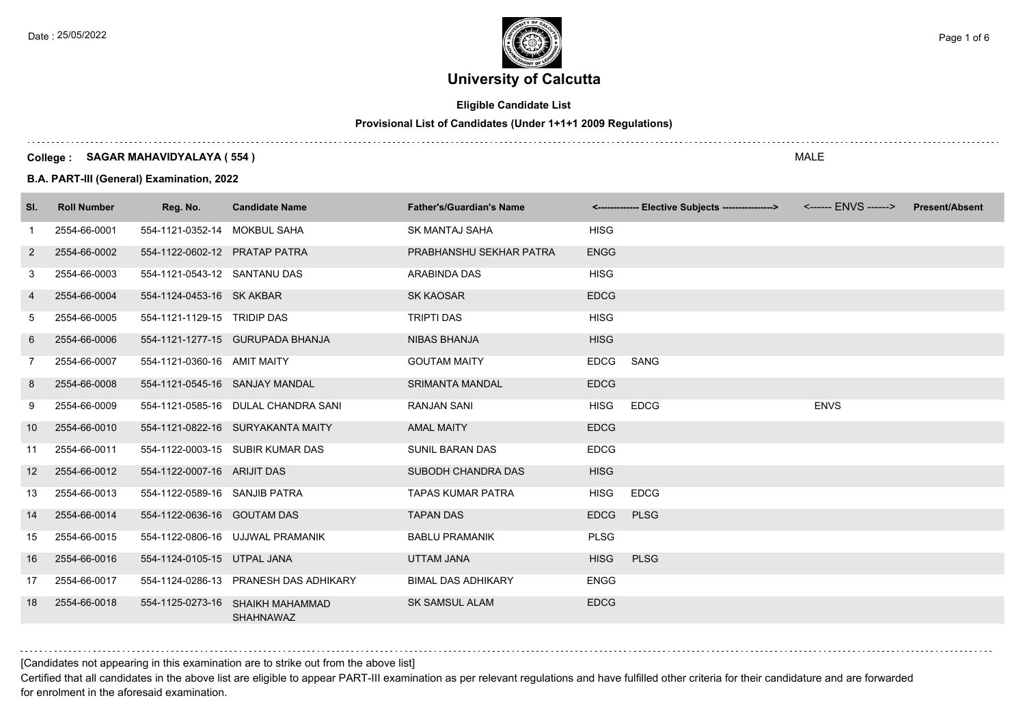

# **Eligible Candidate List**

# **Provisional List of Candidates (Under 1+1+1 2009 Regulations)**

### **College : SAGAR MAHAVIDYALAYA ( 554 )**

**B.A. PART-III (General) Examination, 2022**

| SI.               | <b>Roll Number</b> | Reg. No.                      | <b>Candidate Name</b>                                | <b>Father's/Guardian's Name</b> |             | <-------------- Elective Subjects ----------------> |             | <b>Present/Absent</b> |
|-------------------|--------------------|-------------------------------|------------------------------------------------------|---------------------------------|-------------|-----------------------------------------------------|-------------|-----------------------|
| -1                | 2554-66-0001       | 554-1121-0352-14 MOKBUL SAHA  |                                                      | <b>SK MANTAJ SAHA</b>           | <b>HISG</b> |                                                     |             |                       |
| $\overline{2}$    | 2554-66-0002       | 554-1122-0602-12 PRATAP PATRA |                                                      | PRABHANSHU SEKHAR PATRA         | <b>ENGG</b> |                                                     |             |                       |
| 3                 | 2554-66-0003       | 554-1121-0543-12 SANTANU DAS  |                                                      | ARABINDA DAS                    | <b>HISG</b> |                                                     |             |                       |
| 4                 | 2554-66-0004       | 554-1124-0453-16 SK AKBAR     |                                                      | <b>SK KAOSAR</b>                | <b>EDCG</b> |                                                     |             |                       |
| 5                 | 2554-66-0005       | 554-1121-1129-15 TRIDIP DAS   |                                                      | <b>TRIPTI DAS</b>               | <b>HISG</b> |                                                     |             |                       |
| 6                 | 2554-66-0006       |                               | 554-1121-1277-15 GURUPADA BHANJA                     | <b>NIBAS BHANJA</b>             | <b>HISG</b> |                                                     |             |                       |
| 7                 | 2554-66-0007       | 554-1121-0360-16 AMIT MAITY   |                                                      | <b>GOUTAM MAITY</b>             | EDCG        | SANG                                                |             |                       |
| 8                 | 2554-66-0008       |                               | 554-1121-0545-16 SANJAY MANDAL                       | <b>SRIMANTA MANDAL</b>          | <b>EDCG</b> |                                                     |             |                       |
| 9                 | 2554-66-0009       |                               | 554-1121-0585-16 DULAL CHANDRA SANI                  | <b>RANJAN SANI</b>              | <b>HISG</b> | <b>EDCG</b>                                         | <b>ENVS</b> |                       |
| 10 <sup>°</sup>   | 2554-66-0010       |                               | 554-1121-0822-16 SURYAKANTA MAITY                    | <b>AMAL MAITY</b>               | <b>EDCG</b> |                                                     |             |                       |
| 11                | 2554-66-0011       |                               | 554-1122-0003-15 SUBIR KUMAR DAS                     | <b>SUNIL BARAN DAS</b>          | <b>EDCG</b> |                                                     |             |                       |
| $12 \overline{ }$ | 2554-66-0012       | 554-1122-0007-16 ARIJIT DAS   |                                                      | SUBODH CHANDRA DAS              | <b>HISG</b> |                                                     |             |                       |
| 13                | 2554-66-0013       | 554-1122-0589-16 SANJIB PATRA |                                                      | <b>TAPAS KUMAR PATRA</b>        | <b>HISG</b> | <b>EDCG</b>                                         |             |                       |
| 14                | 2554-66-0014       | 554-1122-0636-16 GOUTAM DAS   |                                                      | <b>TAPAN DAS</b>                | <b>EDCG</b> | <b>PLSG</b>                                         |             |                       |
| 15                | 2554-66-0015       |                               | 554-1122-0806-16 UJJWAL PRAMANIK                     | <b>BABLU PRAMANIK</b>           | <b>PLSG</b> |                                                     |             |                       |
| 16                | 2554-66-0016       | 554-1124-0105-15 UTPAL JANA   |                                                      | <b>UTTAM JANA</b>               | <b>HISG</b> | <b>PLSG</b>                                         |             |                       |
| 17                | 2554-66-0017       |                               | 554-1124-0286-13 PRANESH DAS ADHIKARY                | <b>BIMAL DAS ADHIKARY</b>       | <b>ENGG</b> |                                                     |             |                       |
| 18                | 2554-66-0018       |                               | 554-1125-0273-16 SHAIKH MAHAMMAD<br><b>SHAHNAWAZ</b> | <b>SK SAMSUL ALAM</b>           | <b>EDCG</b> |                                                     |             |                       |

[Candidates not appearing in this examination are to strike out from the above list]

Certified that all candidates in the above list are eligible to appear PART-III examination as per relevant regulations and have fulfilled other criteria for their candidature and are forwarded for enrolment in the aforesaid examination.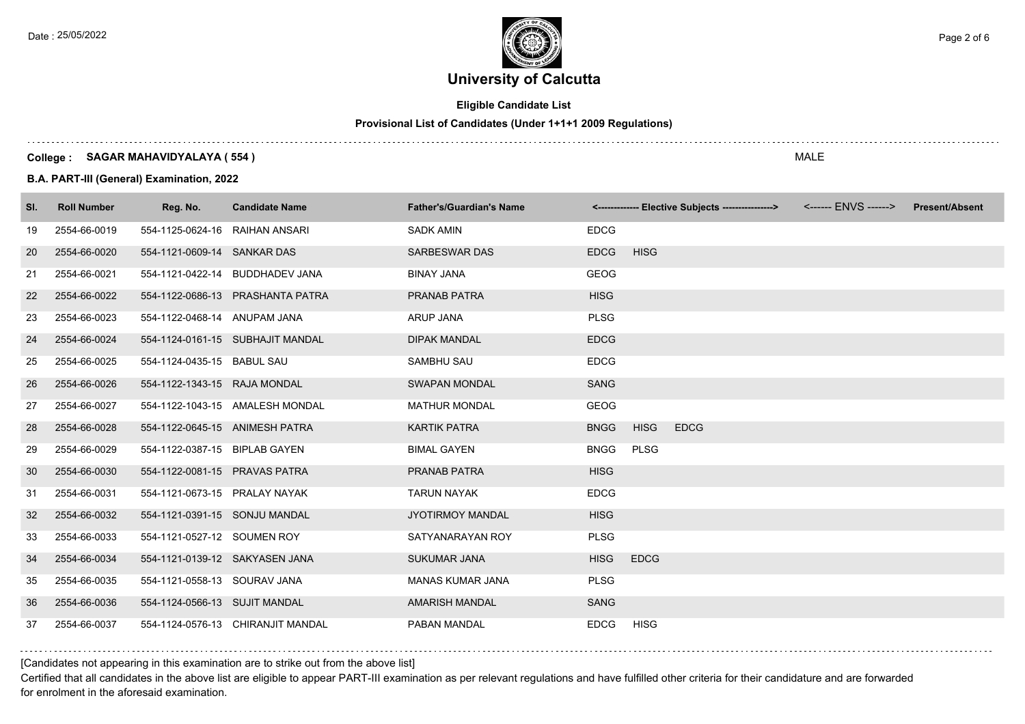

# **Eligible Candidate List**

# **Provisional List of Candidates (Under 1+1+1 2009 Regulations)**

### **College : SAGAR MAHAVIDYALAYA ( 554 )**

**B.A. PART-III (General) Examination, 2022**

| SI. | <b>Roll Number</b> | Reg. No.                       | <b>Candidate Name</b>             | <b>Father's/Guardian's Name</b> |             | <------------- Elective Subjects ----------------> | <b>Present/Absent</b> |
|-----|--------------------|--------------------------------|-----------------------------------|---------------------------------|-------------|----------------------------------------------------|-----------------------|
| 19  | 2554-66-0019       | 554-1125-0624-16 RAIHAN ANSARI |                                   | <b>SADK AMIN</b>                | <b>EDCG</b> |                                                    |                       |
| 20  | 2554-66-0020       | 554-1121-0609-14 SANKAR DAS    |                                   | <b>SARBESWAR DAS</b>            | <b>EDCG</b> | <b>HISG</b>                                        |                       |
| 21  | 2554-66-0021       |                                | 554-1121-0422-14 BUDDHADEV JANA   | <b>BINAY JANA</b>               | <b>GEOG</b> |                                                    |                       |
| 22  | 2554-66-0022       |                                | 554-1122-0686-13 PRASHANTA PATRA  | <b>PRANAB PATRA</b>             | <b>HISG</b> |                                                    |                       |
| 23  | 2554-66-0023       | 554-1122-0468-14 ANUPAM JANA   |                                   | <b>ARUP JANA</b>                | <b>PLSG</b> |                                                    |                       |
| 24  | 2554-66-0024       |                                | 554-1124-0161-15 SUBHAJIT MANDAL  | <b>DIPAK MANDAL</b>             | <b>EDCG</b> |                                                    |                       |
| 25  | 2554-66-0025       | 554-1124-0435-15 BABUL SAU     |                                   | SAMBHU SAU                      | <b>EDCG</b> |                                                    |                       |
| 26  | 2554-66-0026       | 554-1122-1343-15 RAJA MONDAL   |                                   | <b>SWAPAN MONDAL</b>            | <b>SANG</b> |                                                    |                       |
| 27  | 2554-66-0027       |                                | 554-1122-1043-15 AMALESH MONDAL   | <b>MATHUR MONDAL</b>            | <b>GEOG</b> |                                                    |                       |
| 28  | 2554-66-0028       |                                | 554-1122-0645-15 ANIMESH PATRA    | <b>KARTIK PATRA</b>             | <b>BNGG</b> | <b>EDCG</b><br><b>HISG</b>                         |                       |
| 29  | 2554-66-0029       | 554-1122-0387-15 BIPLAB GAYEN  |                                   | <b>BIMAL GAYEN</b>              | <b>BNGG</b> | <b>PLSG</b>                                        |                       |
| 30  | 2554-66-0030       | 554-1122-0081-15 PRAVAS PATRA  |                                   | <b>PRANAB PATRA</b>             | <b>HISG</b> |                                                    |                       |
| 31  | 2554-66-0031       | 554-1121-0673-15 PRALAY NAYAK  |                                   | <b>TARUN NAYAK</b>              | <b>EDCG</b> |                                                    |                       |
| 32  | 2554-66-0032       | 554-1121-0391-15 SONJU MANDAL  |                                   | <b>JYOTIRMOY MANDAL</b>         | <b>HISG</b> |                                                    |                       |
| 33  | 2554-66-0033       | 554-1121-0527-12 SOUMEN ROY    |                                   | SATYANARAYAN ROY                | <b>PLSG</b> |                                                    |                       |
| 34  | 2554-66-0034       | 554-1121-0139-12 SAKYASEN JANA |                                   | <b>SUKUMAR JANA</b>             | <b>HISG</b> | <b>EDCG</b>                                        |                       |
| 35  | 2554-66-0035       | 554-1121-0558-13 SOURAV JANA   |                                   | <b>MANAS KUMAR JANA</b>         | <b>PLSG</b> |                                                    |                       |
| 36  | 2554-66-0036       | 554-1124-0566-13 SUJIT MANDAL  |                                   | <b>AMARISH MANDAL</b>           | <b>SANG</b> |                                                    |                       |
| 37  | 2554-66-0037       |                                | 554-1124-0576-13 CHIRANJIT MANDAL | PABAN MANDAL                    | <b>EDCG</b> | <b>HISG</b>                                        |                       |

## [Candidates not appearing in this examination are to strike out from the above list]

Certified that all candidates in the above list are eligible to appear PART-III examination as per relevant regulations and have fulfilled other criteria for their candidature and are forwarded for enrolment in the aforesaid examination.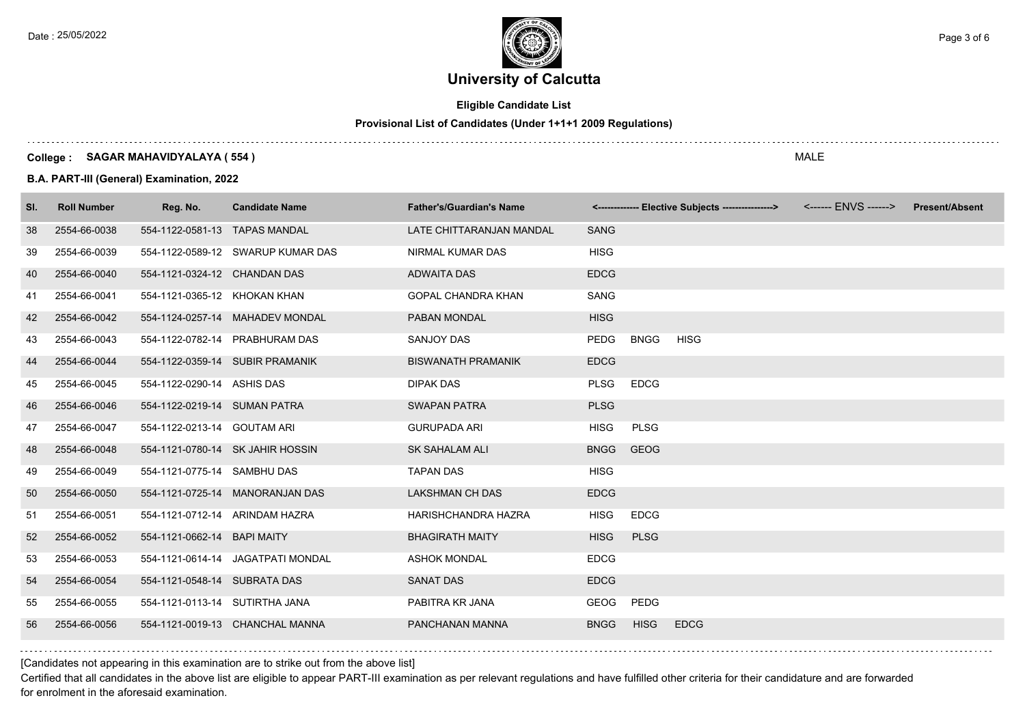

# **Eligible Candidate List**

## **Provisional List of Candidates (Under 1+1+1 2009 Regulations)**

### **College : SAGAR MAHAVIDYALAYA ( 554 )**

**B.A. PART-III (General) Examination, 2022**

| SI. | <b>Roll Number</b> | Reg. No.                       | <b>Candidate Name</b>             | <b>Father's/Guardian's Name</b> |             |             | <------------- Elective Subjects ----------------> | <b>Present/Absent</b> |
|-----|--------------------|--------------------------------|-----------------------------------|---------------------------------|-------------|-------------|----------------------------------------------------|-----------------------|
| 38  | 2554-66-0038       | 554-1122-0581-13 TAPAS MANDAL  |                                   | LATE CHITTARANJAN MANDAL        | <b>SANG</b> |             |                                                    |                       |
| 39  | 2554-66-0039       |                                | 554-1122-0589-12 SWARUP KUMAR DAS | NIRMAL KUMAR DAS                | <b>HISG</b> |             |                                                    |                       |
| 40  | 2554-66-0040       | 554-1121-0324-12 CHANDAN DAS   |                                   | <b>ADWAITA DAS</b>              | <b>EDCG</b> |             |                                                    |                       |
| 41  | 2554-66-0041       | 554-1121-0365-12 KHOKAN KHAN   |                                   | GOPAL CHANDRA KHAN              | SANG        |             |                                                    |                       |
| 42  | 2554-66-0042       |                                | 554-1124-0257-14 MAHADEV MONDAL   | <b>PABAN MONDAL</b>             | <b>HISG</b> |             |                                                    |                       |
| 43  | 2554-66-0043       |                                | 554-1122-0782-14 PRABHURAM DAS    | <b>SANJOY DAS</b>               | PEDG        | <b>BNGG</b> | <b>HISG</b>                                        |                       |
| 44  | 2554-66-0044       |                                | 554-1122-0359-14 SUBIR PRAMANIK   | <b>BISWANATH PRAMANIK</b>       | <b>EDCG</b> |             |                                                    |                       |
| 45  | 2554-66-0045       | 554-1122-0290-14 ASHIS DAS     |                                   | <b>DIPAK DAS</b>                | <b>PLSG</b> | <b>EDCG</b> |                                                    |                       |
| 46  | 2554-66-0046       | 554-1122-0219-14 SUMAN PATRA   |                                   | <b>SWAPAN PATRA</b>             | <b>PLSG</b> |             |                                                    |                       |
| 47  | 2554-66-0047       | 554-1122-0213-14 GOUTAM ARI    |                                   | <b>GURUPADA ARI</b>             | <b>HISG</b> | <b>PLSG</b> |                                                    |                       |
| 48  | 2554-66-0048       |                                | 554-1121-0780-14 SK JAHIR HOSSIN  | <b>SK SAHALAM ALI</b>           | <b>BNGG</b> | <b>GEOG</b> |                                                    |                       |
| 49  | 2554-66-0049       | 554-1121-0775-14 SAMBHU DAS    |                                   | <b>TAPAN DAS</b>                | <b>HISG</b> |             |                                                    |                       |
| 50  | 2554-66-0050       |                                | 554-1121-0725-14 MANORANJAN DAS   | <b>LAKSHMAN CH DAS</b>          | <b>EDCG</b> |             |                                                    |                       |
| 51  | 2554-66-0051       |                                | 554-1121-0712-14 ARINDAM HAZRA    | HARISHCHANDRA HAZRA             | <b>HISG</b> | <b>EDCG</b> |                                                    |                       |
| 52  | 2554-66-0052       | 554-1121-0662-14 BAPI MAITY    |                                   | <b>BHAGIRATH MAITY</b>          | <b>HISG</b> | <b>PLSG</b> |                                                    |                       |
| 53  | 2554-66-0053       |                                | 554-1121-0614-14 JAGATPATI MONDAL | <b>ASHOK MONDAL</b>             | <b>EDCG</b> |             |                                                    |                       |
| 54  | 2554-66-0054       | 554-1121-0548-14 SUBRATA DAS   |                                   | <b>SANAT DAS</b>                | <b>EDCG</b> |             |                                                    |                       |
| 55  | 2554-66-0055       | 554-1121-0113-14 SUTIRTHA JANA |                                   | PABITRA KR JANA                 | GEOG        | PEDG        |                                                    |                       |
| 56  | 2554-66-0056       |                                | 554-1121-0019-13 CHANCHAL MANNA   | PANCHANAN MANNA                 | <b>BNGG</b> | <b>HISG</b> | <b>EDCG</b>                                        |                       |

[Candidates not appearing in this examination are to strike out from the above list]

Certified that all candidates in the above list are eligible to appear PART-III examination as per relevant regulations and have fulfilled other criteria for their candidature and are forwarded for enrolment in the aforesaid examination.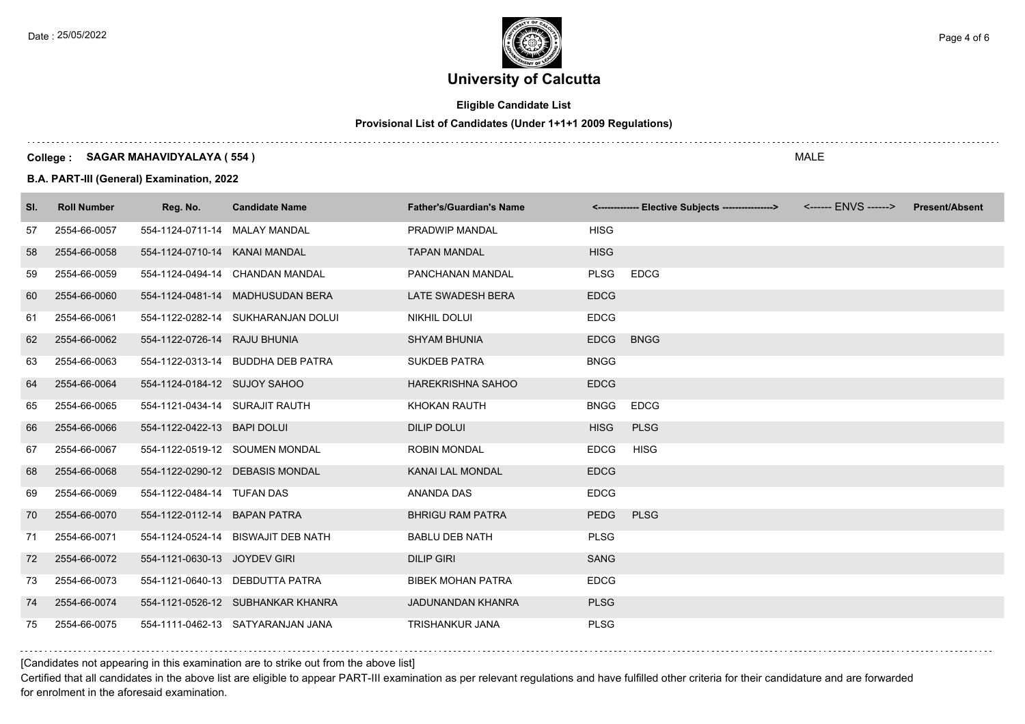

# **Eligible Candidate List**

# **Provisional List of Candidates (Under 1+1+1 2009 Regulations)**

### **College : SAGAR MAHAVIDYALAYA ( 554 )**

**B.A. PART-III (General) Examination, 2022**

| SI. | <b>Roll Number</b> | Reg. No.                       | <b>Candidate Name</b>              | <b>Father's/Guardian's Name</b> |             | <------------- Elective Subjects ----------------> | <b>Present/Absent</b> |
|-----|--------------------|--------------------------------|------------------------------------|---------------------------------|-------------|----------------------------------------------------|-----------------------|
| 57  | 2554-66-0057       | 554-1124-0711-14 MALAY MANDAL  |                                    | PRADWIP MANDAL                  | <b>HISG</b> |                                                    |                       |
| 58  | 2554-66-0058       | 554-1124-0710-14 KANAI MANDAL  |                                    | <b>TAPAN MANDAL</b>             | <b>HISG</b> |                                                    |                       |
| 59  | 2554-66-0059       |                                | 554-1124-0494-14 CHANDAN MANDAL    | PANCHANAN MANDAL                | <b>PLSG</b> | <b>EDCG</b>                                        |                       |
| 60  | 2554-66-0060       |                                | 554-1124-0481-14 MADHUSUDAN BERA   | LATE SWADESH BERA               | <b>EDCG</b> |                                                    |                       |
| 61  | 2554-66-0061       |                                | 554-1122-0282-14 SUKHARANJAN DOLUI | NIKHIL DOLUI                    | <b>EDCG</b> |                                                    |                       |
| 62  | 2554-66-0062       | 554-1122-0726-14 RAJU BHUNIA   |                                    | <b>SHYAM BHUNIA</b>             | <b>EDCG</b> | <b>BNGG</b>                                        |                       |
| 63  | 2554-66-0063       |                                | 554-1122-0313-14 BUDDHA DEB PATRA  | <b>SUKDEB PATRA</b>             | <b>BNGG</b> |                                                    |                       |
| 64  | 2554-66-0064       | 554-1124-0184-12 SUJOY SAHOO   |                                    | <b>HAREKRISHNA SAHOO</b>        | <b>EDCG</b> |                                                    |                       |
| 65  | 2554-66-0065       | 554-1121-0434-14 SURAJIT RAUTH |                                    | KHOKAN RAUTH                    | <b>BNGG</b> | <b>EDCG</b>                                        |                       |
| 66  | 2554-66-0066       | 554-1122-0422-13 BAPI DOLUI    |                                    | <b>DILIP DOLUI</b>              | <b>HISG</b> | <b>PLSG</b>                                        |                       |
| 67  | 2554-66-0067       |                                | 554-1122-0519-12 SOUMEN MONDAL     | <b>ROBIN MONDAL</b>             | <b>EDCG</b> | <b>HISG</b>                                        |                       |
| 68  | 2554-66-0068       |                                | 554-1122-0290-12 DEBASIS MONDAL    | KANAI LAL MONDAL                | <b>EDCG</b> |                                                    |                       |
| 69  | 2554-66-0069       | 554-1122-0484-14 TUFAN DAS     |                                    | ANANDA DAS                      | <b>EDCG</b> |                                                    |                       |
| 70  | 2554-66-0070       | 554-1122-0112-14 BAPAN PATRA   |                                    | <b>BHRIGU RAM PATRA</b>         | <b>PEDG</b> | <b>PLSG</b>                                        |                       |
| 71  | 2554-66-0071       |                                | 554-1124-0524-14 BISWAJIT DEB NATH | <b>BABLU DEB NATH</b>           | <b>PLSG</b> |                                                    |                       |
| 72  | 2554-66-0072       | 554-1121-0630-13 JOYDEV GIRI   |                                    | <b>DILIP GIRI</b>               | <b>SANG</b> |                                                    |                       |
| 73  | 2554-66-0073       |                                | 554-1121-0640-13 DEBDUTTA PATRA    | <b>BIBEK MOHAN PATRA</b>        | <b>EDCG</b> |                                                    |                       |
| 74  | 2554-66-0074       |                                | 554-1121-0526-12 SUBHANKAR KHANRA  | JADUNANDAN KHANRA               | <b>PLSG</b> |                                                    |                       |
| 75  | 2554-66-0075       |                                | 554-1111-0462-13 SATYARANJAN JANA  | <b>TRISHANKUR JANA</b>          | <b>PLSG</b> |                                                    |                       |

## [Candidates not appearing in this examination are to strike out from the above list]

Certified that all candidates in the above list are eligible to appear PART-III examination as per relevant regulations and have fulfilled other criteria for their candidature and are forwarded for enrolment in the aforesaid examination.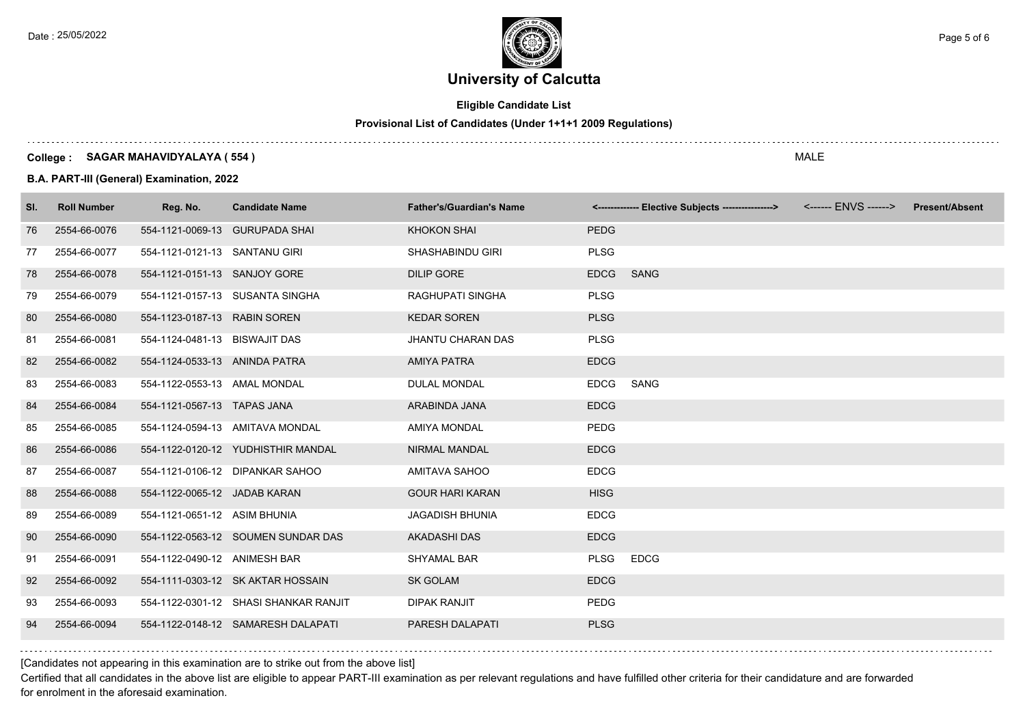

# **Eligible Candidate List**

# **Provisional List of Candidates (Under 1+1+1 2009 Regulations)**

### **College : SAGAR MAHAVIDYALAYA ( 554 )**

**B.A. PART-III (General) Examination, 2022**

| SI. | <b>Roll Number</b> | Reg. No.                      | <b>Candidate Name</b>                 | <b>Father's/Guardian's Name</b> |             | <-------------- Elective Subjects ----------------> | <b>Present/Absent</b> |
|-----|--------------------|-------------------------------|---------------------------------------|---------------------------------|-------------|-----------------------------------------------------|-----------------------|
| 76  | 2554-66-0076       |                               | 554-1121-0069-13 GURUPADA SHAI        | <b>KHOKON SHAI</b>              | <b>PEDG</b> |                                                     |                       |
| 77  | 2554-66-0077       | 554-1121-0121-13 SANTANU GIRI |                                       | SHASHABINDU GIRI                | <b>PLSG</b> |                                                     |                       |
| 78  | 2554-66-0078       | 554-1121-0151-13 SANJOY GORE  |                                       | <b>DILIP GORE</b>               | <b>EDCG</b> | <b>SANG</b>                                         |                       |
| 79  | 2554-66-0079       |                               | 554-1121-0157-13 SUSANTA SINGHA       | RAGHUPATI SINGHA                | <b>PLSG</b> |                                                     |                       |
| 80  | 2554-66-0080       | 554-1123-0187-13 RABIN SOREN  |                                       | <b>KEDAR SOREN</b>              | <b>PLSG</b> |                                                     |                       |
| 81  | 2554-66-0081       | 554-1124-0481-13 BISWAJIT DAS |                                       | <b>JHANTU CHARAN DAS</b>        | <b>PLSG</b> |                                                     |                       |
| 82  | 2554-66-0082       | 554-1124-0533-13 ANINDA PATRA |                                       | <b>AMIYA PATRA</b>              | <b>EDCG</b> |                                                     |                       |
| 83  | 2554-66-0083       | 554-1122-0553-13 AMAL MONDAL  |                                       | <b>DULAL MONDAL</b>             | <b>EDCG</b> | SANG                                                |                       |
| 84  | 2554-66-0084       | 554-1121-0567-13 TAPAS JANA   |                                       | ARABINDA JANA                   | <b>EDCG</b> |                                                     |                       |
| 85  | 2554-66-0085       |                               | 554-1124-0594-13 AMITAVA MONDAL       | <b>AMIYA MONDAL</b>             | <b>PEDG</b> |                                                     |                       |
| 86  | 2554-66-0086       |                               | 554-1122-0120-12 YUDHISTHIR MANDAL    | <b>NIRMAL MANDAL</b>            | <b>EDCG</b> |                                                     |                       |
| 87  | 2554-66-0087       |                               | 554-1121-0106-12 DIPANKAR SAHOO       | AMITAVA SAHOO                   | <b>EDCG</b> |                                                     |                       |
| 88  | 2554-66-0088       | 554-1122-0065-12 JADAB KARAN  |                                       | <b>GOUR HARI KARAN</b>          | <b>HISG</b> |                                                     |                       |
| 89  | 2554-66-0089       | 554-1121-0651-12 ASIM BHUNIA  |                                       | <b>JAGADISH BHUNIA</b>          | <b>EDCG</b> |                                                     |                       |
| 90  | 2554-66-0090       |                               | 554-1122-0563-12 SOUMEN SUNDAR DAS    | <b>AKADASHI DAS</b>             | <b>EDCG</b> |                                                     |                       |
| 91  | 2554-66-0091       | 554-1122-0490-12 ANIMESH BAR  |                                       | <b>SHYAMAL BAR</b>              | <b>PLSG</b> | <b>EDCG</b>                                         |                       |
| 92  | 2554-66-0092       |                               | 554-1111-0303-12 SK AKTAR HOSSAIN     | <b>SK GOLAM</b>                 | <b>EDCG</b> |                                                     |                       |
| 93  | 2554-66-0093       |                               | 554-1122-0301-12 SHASI SHANKAR RANJIT | <b>DIPAK RANJIT</b>             | <b>PEDG</b> |                                                     |                       |
| 94  | 2554-66-0094       |                               | 554-1122-0148-12 SAMARESH DALAPATI    | PARESH DALAPATI                 | <b>PLSG</b> |                                                     |                       |

[Candidates not appearing in this examination are to strike out from the above list]

Certified that all candidates in the above list are eligible to appear PART-III examination as per relevant regulations and have fulfilled other criteria for their candidature and are forwarded for enrolment in the aforesaid examination.